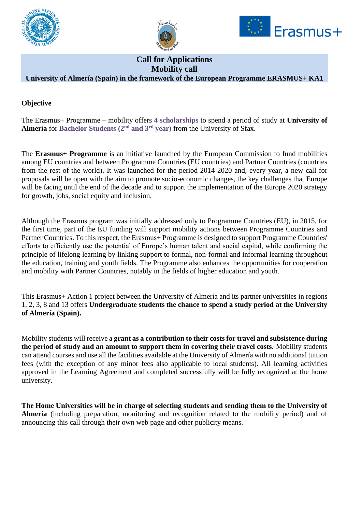





# **Call for Applications Mobility call**

## **University of Almería (Spain) in the framework of the European Programme ERASMUS+ KA1**

#### **Objective**

The Erasmus+ Programme – mobility offers **4 scholarships** to spend a period of study at **University of Almería** for **Bachelor Students (2nd and 3rd year)** from the University of Sfax.

The **Erasmus+ Programme** is an initiative launched by the European Commission to fund mobilities among EU countries and between Programme Countries (EU countries) and Partner Countries (countries from the rest of the world). It was launched for the period 2014-2020 and, every year, a new call for proposals will be open with the aim to promote socio-economic changes, the key challenges that Europe will be facing until the end of the decade and to support the implementation of the Europe 2020 strategy for growth, jobs, social equity and inclusion.

Although the Erasmus program was initially addressed only to Programme Countries (EU), in 2015, for the first time, part of the EU funding will support mobility actions between Programme Countries and Partner Countries. To this respect, the Erasmus+ Programme is designed to support Programme Countries' efforts to efficiently use the potential of Europe's human talent and social capital, while confirming the principle of lifelong learning by linking support to formal, non-formal and informal learning throughout the education, training and youth fields. The Programme also enhances the opportunities for cooperation and mobility with Partner Countries, notably in the fields of higher education and youth.

This Erasmus+ Action 1 project between the University of Almería and its partner universities in regions 1, 2, 3, 8 and 13 offers **Undergraduate students the chance to spend a study period at the University of Almería (Spain).** 

Mobility students will receive a **grant as a contribution to their costs for travel and subsistence during the period of study and an amount to support them in covering their travel costs.** Mobility students can attend courses and use all the facilities available at the University of Almería with no additional tuition fees (with the exception of any minor fees also applicable to local students). All learning activities approved in the Learning Agreement and completed successfully will be fully recognized at the home university.

**The Home Universities will be in charge of selecting students and sending them to the University of Almería** (including preparation, monitoring and recognition related to the mobility period) and of announcing this call through their own web page and other publicity means.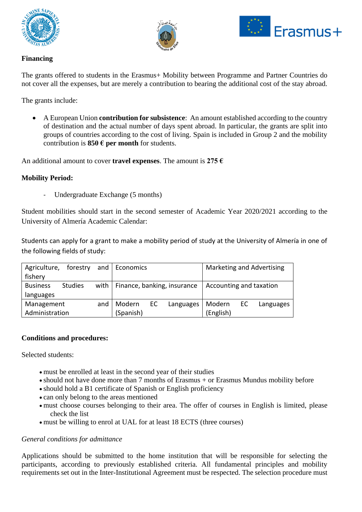





### **Financing**

The grants offered to students in the Erasmus+ Mobility between Programme and Partner Countries do not cover all the expenses, but are merely a contribution to bearing the additional cost of the stay abroad.

The grants include:

• A European Union **contribution for subsistence**: An amount established according to the country of destination and the actual number of days spent abroad. In particular, the grants are split into groups of countries according to the cost of living. Spain is included in Group 2 and the mobility contribution is **850 € per month** for students.

An additional amount to cover **travel expenses**. The amount is **275 €**

#### **Mobility Period:**

Undergraduate Exchange (5 months)

Student mobilities should start in the second semester of Academic Year 2020/2021 according to the University of Almería Academic Calendar:

Students can apply for a grant to make a mobility period of study at the University of Almería in one of the following fields of study:

| Agriculture,      | forestry       |        | and   Economics                    |           |        |                         |           | Marketing and Advertising |
|-------------------|----------------|--------|------------------------------------|-----------|--------|-------------------------|-----------|---------------------------|
| fishery           |                |        |                                    |           |        |                         |           |                           |
| <b>Business</b>   | <b>Studies</b> |        | with   Finance, banking, insurance |           |        | Accounting and taxation |           |                           |
| languages         |                |        |                                    |           |        |                         |           |                           |
| Management<br>and |                | Modern | EC                                 | Languages | Modern | EC.                     | Languages |                           |
| Administration    |                |        | (Spanish)                          |           |        | (English)               |           |                           |

#### **Conditions and procedures:**

Selected students:

- must be enrolled at least in the second year of their studies
- should not have done more than 7 months of Erasmus + or Erasmus Mundus mobility before
- should hold a B1 certificate of Spanish or English proficiency
- can only belong to the areas mentioned
- must choose courses belonging to their area. The offer of courses in English is limited, please check the list
- must be willing to enrol at UAL for at least 18 ECTS (three courses)

#### *General conditions for admittance*

Applications should be submitted to the home institution that will be responsible for selecting the participants, according to previously established criteria. All fundamental principles and mobility requirements set out in the Inter-Institutional Agreement must be respected. The selection procedure must